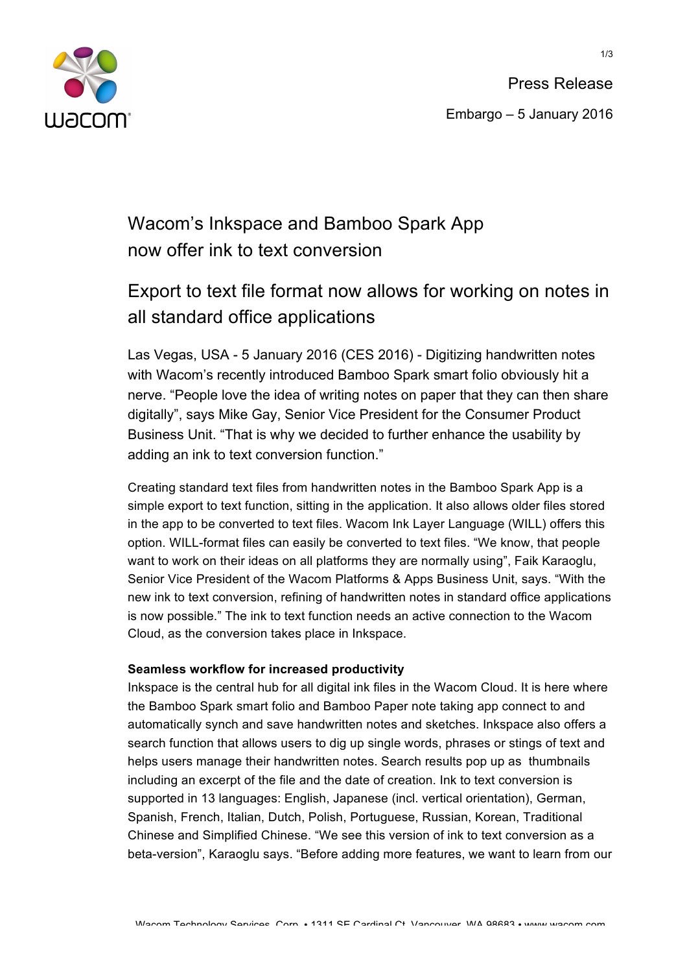

Press Release Embargo – 5 January 2016

## Wacom's Inkspace and Bamboo Spark App now offer ink to text conversion

# Export to text file format now allows for working on notes in all standard office applications

Las Vegas, USA - 5 January 2016 (CES 2016) - Digitizing handwritten notes with Wacom's recently introduced Bamboo Spark smart folio obviously hit a nerve. "People love the idea of writing notes on paper that they can then share digitally", says Mike Gay, Senior Vice President for the Consumer Product Business Unit. "That is why we decided to further enhance the usability by adding an ink to text conversion function."

Creating standard text files from handwritten notes in the Bamboo Spark App is a simple export to text function, sitting in the application. It also allows older files stored in the app to be converted to text files. Wacom Ink Layer Language (WILL) offers this option. WILL-format files can easily be converted to text files. "We know, that people want to work on their ideas on all platforms they are normally using", Faik Karaoglu, Senior Vice President of the Wacom Platforms & Apps Business Unit, says. "With the new ink to text conversion, refining of handwritten notes in standard office applications is now possible." The ink to text function needs an active connection to the Wacom Cloud, as the conversion takes place in Inkspace.

### **Seamless workflow for increased productivity**

Inkspace is the central hub for all digital ink files in the Wacom Cloud. It is here where the Bamboo Spark smart folio and Bamboo Paper note taking app connect to and automatically synch and save handwritten notes and sketches. Inkspace also offers a search function that allows users to dig up single words, phrases or stings of text and helps users manage their handwritten notes. Search results pop up as thumbnails including an excerpt of the file and the date of creation. Ink to text conversion is supported in 13 languages: English, Japanese (incl. vertical orientation), German, Spanish, French, Italian, Dutch, Polish, Portuguese, Russian, Korean, Traditional Chinese and Simplified Chinese. "We see this version of ink to text conversion as a beta-version", Karaoglu says. "Before adding more features, we want to learn from our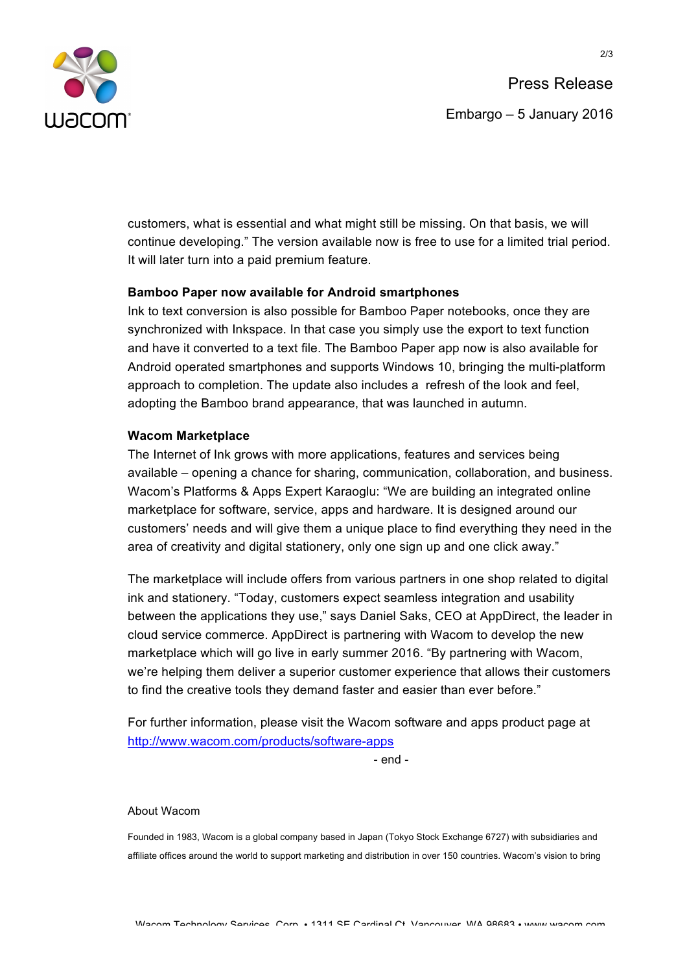

customers, what is essential and what might still be missing. On that basis, we will continue developing." The version available now is free to use for a limited trial period. It will later turn into a paid premium feature.

### **Bamboo Paper now available for Android smartphones**

Ink to text conversion is also possible for Bamboo Paper notebooks, once they are synchronized with Inkspace. In that case you simply use the export to text function and have it converted to a text file. The Bamboo Paper app now is also available for Android operated smartphones and supports Windows 10, bringing the multi-platform approach to completion. The update also includes a refresh of the look and feel, adopting the Bamboo brand appearance, that was launched in autumn.

#### **Wacom Marketplace**

The Internet of Ink grows with more applications, features and services being available – opening a chance for sharing, communication, collaboration, and business. Wacom's Platforms & Apps Expert Karaoglu: "We are building an integrated online marketplace for software, service, apps and hardware. It is designed around our customers' needs and will give them a unique place to find everything they need in the area of creativity and digital stationery, only one sign up and one click away."

The marketplace will include offers from various partners in one shop related to digital ink and stationery. "Today, customers expect seamless integration and usability between the applications they use," says Daniel Saks, CEO at AppDirect, the leader in cloud service commerce. AppDirect is partnering with Wacom to develop the new marketplace which will go live in early summer 2016. "By partnering with Wacom, we're helping them deliver a superior customer experience that allows their customers to find the creative tools they demand faster and easier than ever before."

For further information, please visit the Wacom software and apps product page at http://www.wacom.com/products/software-apps

- end -

#### About Wacom

Founded in 1983, Wacom is a global company based in Japan (Tokyo Stock Exchange 6727) with subsidiaries and affiliate offices around the world to support marketing and distribution in over 150 countries. Wacom's vision to bring

Wacom Technology Services, Corp. • 1311 SE Cardinal Ct. Vancouver, WA 98683 • www.wacom.com